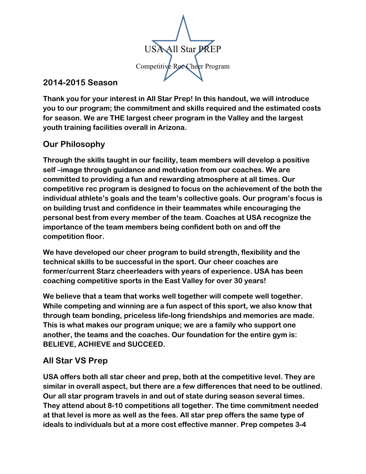

#### **2014-2015 Season**

**Thank you for your interest in All Star Prep! In this handout, we will introduce you to our program; the commitment and skills required and the estimated costs for season. We are THE largest cheer program in the Valley and the largest youth training facilities overall in Arizona.**

# **Our Philosophy**

**Through the skills taught in our facility, team members will develop a positive self –image through guidance and motivation from our coaches. We are committed to providing a fun and rewarding atmosphere at all times. Our competitive rec program is designed to focus on the achievement of the both the individual athlete's goals and the team's collective goals. Our program's focus is on building trust and confidence in their teammates while encouraging the personal best from every member of the team. Coaches at USA recognize the importance of the team members being confident both on and off the competition floor.** 

**We have developed our cheer program to build strength, flexibility and the technical skills to be successful in the sport. Our cheer coaches are former/current Starz cheerleaders with years of experience. USA has been coaching competitive sports in the East Valley for over 30 years!** 

**We believe that a team that works well together will compete well together. While competing and winning are a fun aspect of this sport, we also know that through team bonding, priceless life-long friendships and memories are made. This is what makes our program unique; we are a family who support one another, the teams and the coaches. Our foundation for the entire gym is: BELIEVE, ACHIEVE and SUCCEED.** 

## **All Star VS Prep**

**USA offers both all star cheer and prep, both at the competitive level. They are similar in overall aspect, but there are a few differences that need to be outlined. Our all star program travels in and out of state during season several times. They attend about 8-10 competitions all together. The time commitment needed at that level is more as well as the fees. All star prep offers the same type of ideals to individuals but at a more cost effective manner. Prep competes 3-4**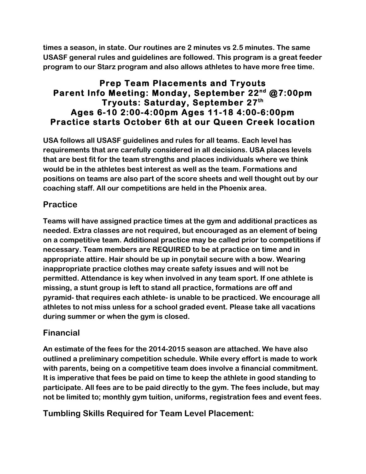**times a season, in state. Our routines are 2 minutes vs 2.5 minutes. The same USASF general rules and guidelines are followed. This program is a great feeder program to our Starz program and also allows athletes to have more free time.** 

#### **Prep Team Placements and Tryouts Parent Info Meeting: Monday, September 22nd @7:00pm Tryouts: Saturday, September 27th Ages 6-10 2:00-4:00pm Ages 11-18 4:00-6:00pm Practice starts October 6th at our Queen Creek location**

**USA follows all USASF guidelines and rules for all teams. Each level has requirements that are carefully considered in all decisions. USA places levels that are best fit for the team strengths and places individuals where we think would be in the athletes best interest as well as the team. Formations and positions on teams are also part of the score sheets and well thought out by our coaching staff. All our competitions are held in the Phoenix area.** 

## **Practice**

**Teams will have assigned practice times at the gym and additional practices as needed. Extra classes are not required, but encouraged as an element of being on a competitive team. Additional practice may be called prior to competitions if necessary. Team members are REQUIRED to be at practice on time and in appropriate attire. Hair should be up in ponytail secure with a bow. Wearing inappropriate practice clothes may create safety issues and will not be permitted. Attendance is key when involved in any team sport. If one athlete is missing, a stunt group is left to stand all practice, formations are off and pyramid- that requires each athlete- is unable to be practiced. We encourage all athletes to not miss unless for a school graded event. Please take all vacations during summer or when the gym is closed.** 

## **Financial**

**An estimate of the fees for the 2014-2015 season are attached. We have also outlined a preliminary competition schedule. While every effort is made to work with parents, being on a competitive team does involve a financial commitment. It is imperative that fees be paid on time to keep the athlete in good standing to participate. All fees are to be paid directly to the gym. The fees include, but may not be limited to; monthly gym tuition, uniforms, registration fees and event fees.** 

**Tumbling Skills Required for Team Level Placement:**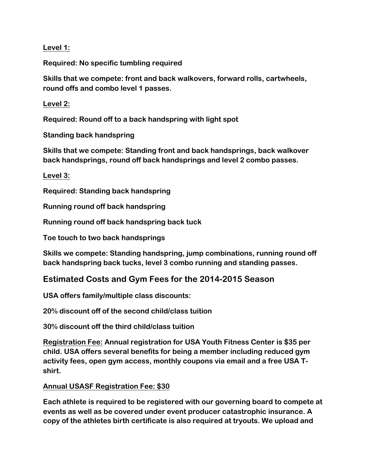**Level 1:** 

**Required: No specific tumbling required**

**Skills that we compete: front and back walkovers, forward rolls, cartwheels, round offs and combo level 1 passes.** 

**Level 2:**

**Required: Round off to a back handspring with light spot**

**Standing back handspring**

**Skills that we compete: Standing front and back handsprings, back walkover back handsprings, round off back handsprings and level 2 combo passes.**

**Level 3:**

**Required: Standing back handspring**

**Running round off back handspring**

**Running round off back handspring back tuck**

**Toe touch to two back handsprings**

**Skills we compete: Standing handspring, jump combinations, running round off back handspring back tucks, level 3 combo running and standing passes.** 

#### **Estimated Costs and Gym Fees for the 2014-2015 Season**

**USA offers family/multiple class discounts:**

**20% discount off of the second child/class tuition**

**30% discount off the third child/class tuition**

**Registration Fee: Annual registration for USA Youth Fitness Center is \$35 per child. USA offers several benefits for being a member including reduced gym activity fees, open gym access, monthly coupons via email and a free USA Tshirt.** 

#### **Annual USASF Registration Fee: \$30**

**Each athlete is required to be registered with our governing board to compete at events as well as be covered under event producer catastrophic insurance. A copy of the athletes birth certificate is also required at tryouts. We upload and**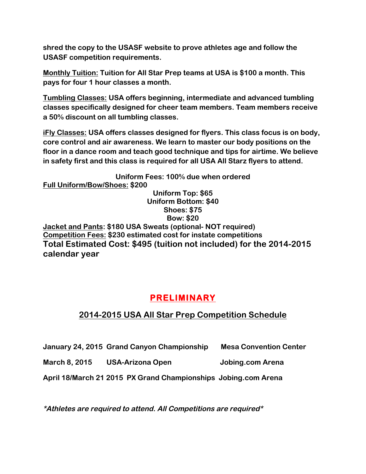**shred the copy to the USASF website to prove athletes age and follow the USASF competition requirements.** 

**Monthly Tuition: Tuition for All Star Prep teams at USA is \$100 a month. This pays for four 1 hour classes a month.**

**Tumbling Classes: USA offers beginning, intermediate and advanced tumbling classes specifically designed for cheer team members. Team members receive a 50% discount on all tumbling classes.** 

**iFly Classes: USA offers classes designed for flyers. This class focus is on body, core control and air awareness. We learn to master our body positions on the floor in a dance room and teach good technique and tips for airtime. We believe in safety first and this class is required for all USA All Starz flyers to attend.** 

**Uniform Fees: 100% due when ordered Full Uniform/Bow/Shoes: \$200 Uniform Top: \$65 Uniform Bottom: \$40 Shoes: \$75 Bow: \$20 Jacket and Pants: \$180 USA Sweats (optional- NOT required) Competition Fees: \$230 estimated cost for instate competitions Total Estimated Cost: \$495 (tuition not included) for the 2014-2015 calendar year**

# **PRELIMINARY**

## **2014-2015 USA All Star Prep Competition Schedule**

**January 24, 2015 Grand Canyon Championship Mesa Convention Center**

**March 8, 2015 USA-Arizona Open Jobing.com Arena**

**April 18/March 21 2015 PX Grand Championships Jobing.com Arena**

**\*Athletes are required to attend. All Competitions are required\***